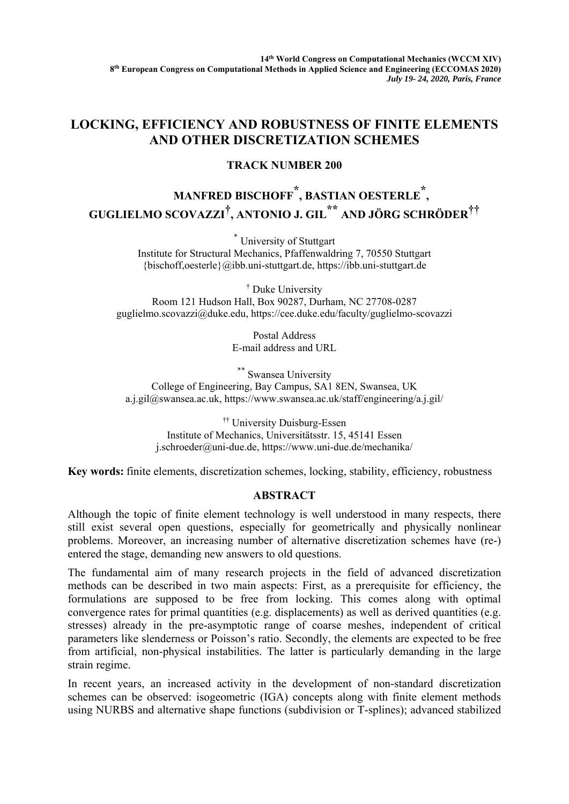## **LOCKING, EFFICIENCY AND ROBUSTNESS OF FINITE ELEMENTS AND OTHER DISCRETIZATION SCHEMES**

## **TRACK NUMBER 200**

## **MANFRED BISCHOFF \* , BASTIAN OESTERLE \*, GUGLIELMO SCOVAZZI† , ANTONIO J. GIL \*\* AND JÖRG SCHRÖDER††**

\* University of Stuttgart Institute for Structural Mechanics, Pfaffenwaldring 7, 70550 Stuttgart {bischoff,oesterle}@ibb.uni-stuttgart.de, https://ibb.uni-stuttgart.de

† Duke University Room 121 Hudson Hall, Box 90287, Durham, NC 27708-0287 guglielmo.scovazzi@duke.edu, https://cee.duke.edu/faculty/guglielmo-scovazzi

> Postal Address E-mail address and URL

\*\* Swansea University College of Engineering, Bay Campus, SA1 8EN, Swansea, UK a.j.gil@swansea.ac.uk, https://www.swansea.ac.uk/staff/engineering/a.j.gil/

†† University Duisburg-Essen Institute of Mechanics, Universitätsstr. 15, 45141 Essen j.schroeder@uni-due.de, https://www.uni-due.de/mechanika/

**Key words:** finite elements, discretization schemes, locking, stability, efficiency, robustness

## **ABSTRACT**

Although the topic of finite element technology is well understood in many respects, there still exist several open questions, especially for geometrically and physically nonlinear problems. Moreover, an increasing number of alternative discretization schemes have (re-) entered the stage, demanding new answers to old questions.

The fundamental aim of many research projects in the field of advanced discretization methods can be described in two main aspects: First, as a prerequisite for efficiency, the formulations are supposed to be free from locking. This comes along with optimal convergence rates for primal quantities (e.g. displacements) as well as derived quantities (e.g. stresses) already in the pre-asymptotic range of coarse meshes, independent of critical parameters like slenderness or Poisson's ratio. Secondly, the elements are expected to be free from artificial, non-physical instabilities. The latter is particularly demanding in the large strain regime.

In recent years, an increased activity in the development of non-standard discretization schemes can be observed: isogeometric (IGA) concepts along with finite element methods using NURBS and alternative shape functions (subdivision or T-splines); advanced stabilized